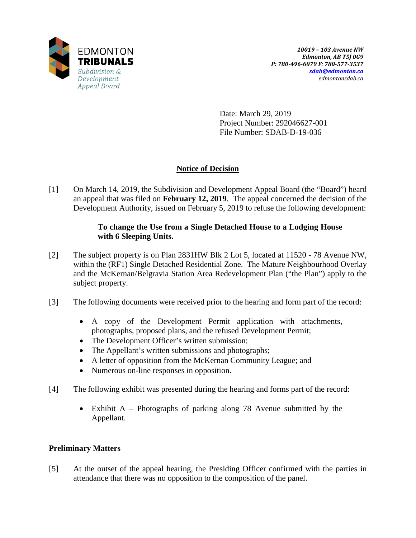

Date: March 29, 2019 Project Number: 292046627-001 File Number: SDAB-D-19-036

# **Notice of Decision**

[1] On March 14, 2019, the Subdivision and Development Appeal Board (the "Board") heard an appeal that was filed on **February 12, 2019**. The appeal concerned the decision of the Development Authority, issued on February 5, 2019 to refuse the following development:

## **To change the Use from a Single Detached House to a Lodging House with 6 Sleeping Units.**

- [2] The subject property is on Plan 2831HW Blk 2 Lot 5, located at 11520 78 Avenue NW, within the (RF1) Single Detached Residential Zone. The Mature Neighbourhood Overlay and the McKernan/Belgravia Station Area Redevelopment Plan ("the Plan") apply to the subject property.
- [3] The following documents were received prior to the hearing and form part of the record:
	- A copy of the Development Permit application with attachments, photographs, proposed plans, and the refused Development Permit;
	- The Development Officer's written submission;
	- The Appellant's written submissions and photographs;
	- A letter of opposition from the McKernan Community League; and
	- Numerous on-line responses in opposition.
- [4] The following exhibit was presented during the hearing and forms part of the record:
	- Exhibit A Photographs of parking along 78 Avenue submitted by the Appellant.

## **Preliminary Matters**

[5] At the outset of the appeal hearing, the Presiding Officer confirmed with the parties in attendance that there was no opposition to the composition of the panel.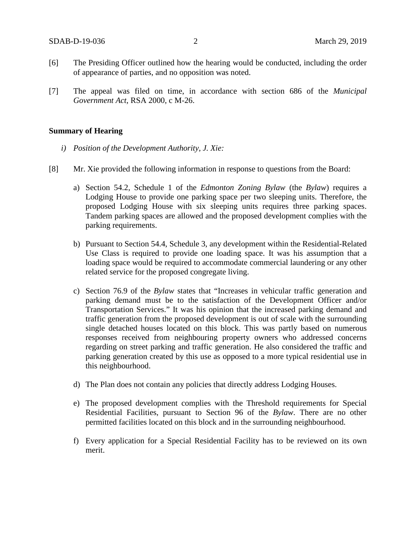- [6] The Presiding Officer outlined how the hearing would be conducted, including the order of appearance of parties, and no opposition was noted.
- [7] The appeal was filed on time, in accordance with section 686 of the *Municipal Government Act*, RSA 2000, c M-26.

#### **Summary of Hearing**

- *i) Position of the Development Authority, J. Xie:*
- [8] Mr. Xie provided the following information in response to questions from the Board:
	- a) Section 54.2, Schedule 1 of the *Edmonton Zoning Bylaw* (the *Bylaw*) requires a Lodging House to provide one parking space per two sleeping units. Therefore, the proposed Lodging House with six sleeping units requires three parking spaces. Tandem parking spaces are allowed and the proposed development complies with the parking requirements.
	- b) Pursuant to Section 54.4, Schedule 3, any development within the Residential-Related Use Class is required to provide one loading space. It was his assumption that a loading space would be required to accommodate commercial laundering or any other related service for the proposed congregate living.
	- c) Section 76.9 of the *Bylaw* states that "Increases in vehicular traffic generation and parking demand must be to the satisfaction of the Development Officer and/or Transportation Services." It was his opinion that the increased parking demand and traffic generation from the proposed development is out of scale with the surrounding single detached houses located on this block. This was partly based on numerous responses received from neighbouring property owners who addressed concerns regarding on street parking and traffic generation. He also considered the traffic and parking generation created by this use as opposed to a more typical residential use in this neighbourhood.
	- d) The Plan does not contain any policies that directly address Lodging Houses.
	- e) The proposed development complies with the Threshold requirements for Special Residential Facilities, pursuant to Section 96 of the *Bylaw*. There are no other permitted facilities located on this block and in the surrounding neighbourhood.
	- f) Every application for a Special Residential Facility has to be reviewed on its own merit.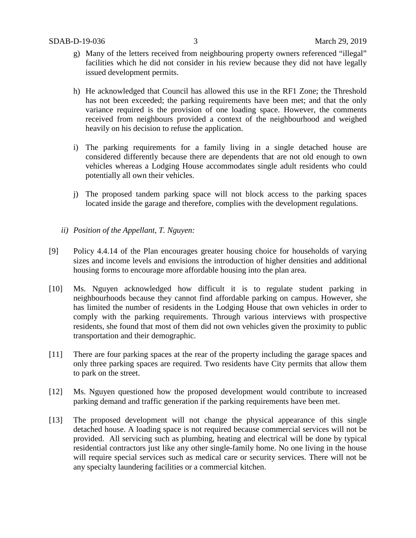- g) Many of the letters received from neighbouring property owners referenced "illegal" facilities which he did not consider in his review because they did not have legally issued development permits.
- h) He acknowledged that Council has allowed this use in the RF1 Zone; the Threshold has not been exceeded; the parking requirements have been met; and that the only variance required is the provision of one loading space. However, the comments received from neighbours provided a context of the neighbourhood and weighed heavily on his decision to refuse the application.
- i) The parking requirements for a family living in a single detached house are considered differently because there are dependents that are not old enough to own vehicles whereas a Lodging House accommodates single adult residents who could potentially all own their vehicles.
- j) The proposed tandem parking space will not block access to the parking spaces located inside the garage and therefore, complies with the development regulations.
- *ii) Position of the Appellant, T. Nguyen:*
- [9] Policy 4.4.14 of the Plan encourages greater housing choice for households of varying sizes and income levels and envisions the introduction of higher densities and additional housing forms to encourage more affordable housing into the plan area.
- [10] Ms. Nguyen acknowledged how difficult it is to regulate student parking in neighbourhoods because they cannot find affordable parking on campus. However, she has limited the number of residents in the Lodging House that own vehicles in order to comply with the parking requirements. Through various interviews with prospective residents, she found that most of them did not own vehicles given the proximity to public transportation and their demographic.
- [11] There are four parking spaces at the rear of the property including the garage spaces and only three parking spaces are required. Two residents have City permits that allow them to park on the street.
- [12] Ms. Nguyen questioned how the proposed development would contribute to increased parking demand and traffic generation if the parking requirements have been met.
- [13] The proposed development will not change the physical appearance of this single detached house. A loading space is not required because commercial services will not be provided. All servicing such as plumbing, heating and electrical will be done by typical residential contractors just like any other single-family home. No one living in the house will require special services such as medical care or security services. There will not be any specialty laundering facilities or a commercial kitchen.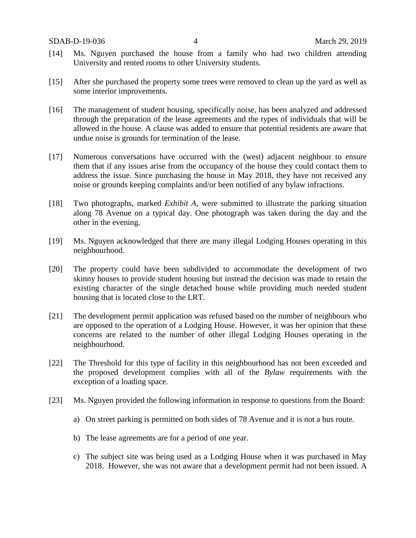- [14] Ms. Nguyen purchased the house from a family who had two children attending University and rented rooms to other University students.
- [15] After she purchased the property some trees were removed to clean up the yard as well as some interior improvements.
- [16] The management of student housing, specifically noise, has been analyzed and addressed through the preparation of the lease agreements and the types of individuals that will be allowed in the house. A clause was added to ensure that potential residents are aware that undue noise is grounds for termination of the lease.
- [17] Numerous conversations have occurred with the (west) adjacent neighbour to ensure them that if any issues arise from the occupancy of the house they could contact them to address the issue. Since purchasing the house in May 2018, they have not received any noise or grounds keeping complaints and/or been notified of any bylaw infractions.
- [18] Two photographs, marked *Exhibit A*, were submitted to illustrate the parking situation along 78 Avenue on a typical day. One photograph was taken during the day and the other in the evening.
- [19] Ms. Nguyen acknowledged that there are many illegal Lodging Houses operating in this neighbourhood.
- [20] The property could have been subdivided to accommodate the development of two skinny houses to provide student housing but instead the decision was made to retain the existing character of the single detached house while providing much needed student housing that is located close to the LRT.
- [21] The development permit application was refused based on the number of neighbours who are opposed to the operation of a Lodging House. However, it was her opinion that these concerns are related to the number of other illegal Lodging Houses operating in the neighbourhood.
- [22] The Threshold for this type of facility in this neighbourhood has not been exceeded and the proposed development complies with all of the *Bylaw* requirements with the exception of a loading space.
- [23] Ms. Nguyen provided the following information in response to questions from the Board:
	- a) On street parking is permitted on both sides of 78 Avenue and it is not a bus route.
	- b) The lease agreements are for a period of one year.
	- c) The subject site was being used as a Lodging House when it was purchased in May 2018. However, she was not aware that a development permit had not been issued. A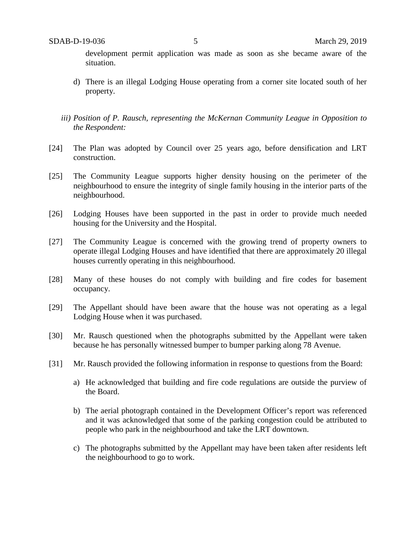development permit application was made as soon as she became aware of the situation.

- d) There is an illegal Lodging House operating from a corner site located south of her property.
- *iii) Position of P. Rausch, representing the McKernan Community League in Opposition to the Respondent:*
- [24] The Plan was adopted by Council over 25 years ago, before densification and LRT construction.
- [25] The Community League supports higher density housing on the perimeter of the neighbourhood to ensure the integrity of single family housing in the interior parts of the neighbourhood.
- [26] Lodging Houses have been supported in the past in order to provide much needed housing for the University and the Hospital.
- [27] The Community League is concerned with the growing trend of property owners to operate illegal Lodging Houses and have identified that there are approximately 20 illegal houses currently operating in this neighbourhood.
- [28] Many of these houses do not comply with building and fire codes for basement occupancy.
- [29] The Appellant should have been aware that the house was not operating as a legal Lodging House when it was purchased.
- [30] Mr. Rausch questioned when the photographs submitted by the Appellant were taken because he has personally witnessed bumper to bumper parking along 78 Avenue.
- [31] Mr. Rausch provided the following information in response to questions from the Board:
	- a) He acknowledged that building and fire code regulations are outside the purview of the Board.
	- b) The aerial photograph contained in the Development Officer's report was referenced and it was acknowledged that some of the parking congestion could be attributed to people who park in the neighbourhood and take the LRT downtown.
	- c) The photographs submitted by the Appellant may have been taken after residents left the neighbourhood to go to work.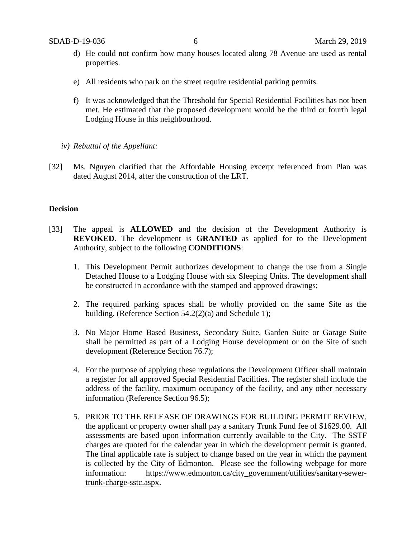- d) He could not confirm how many houses located along 78 Avenue are used as rental properties.
- e) All residents who park on the street require residential parking permits.
- f) It was acknowledged that the Threshold for Special Residential Facilities has not been met. He estimated that the proposed development would be the third or fourth legal Lodging House in this neighbourhood.
- *iv) Rebuttal of the Appellant:*
- [32] Ms. Nguyen clarified that the Affordable Housing excerpt referenced from Plan was dated August 2014, after the construction of the LRT.

## **Decision**

- [33] The appeal is **ALLOWED** and the decision of the Development Authority is **REVOKED**. The development is **GRANTED** as applied for to the Development Authority, subject to the following **CONDITIONS**:
	- 1. This Development Permit authorizes development to change the use from a Single Detached House to a Lodging House with six Sleeping Units. The development shall be constructed in accordance with the stamped and approved drawings;
	- 2. The required parking spaces shall be wholly provided on the same Site as the building. (Reference Section 54.2(2)(a) and Schedule 1);
	- 3. No Major Home Based Business, Secondary Suite, Garden Suite or Garage Suite shall be permitted as part of a Lodging House development or on the Site of such development (Reference Section 76.7);
	- 4. For the purpose of applying these regulations the Development Officer shall maintain a register for all approved Special Residential Facilities. The register shall include the address of the facility, maximum occupancy of the facility, and any other necessary information (Reference Section 96.5);
	- 5. PRIOR TO THE RELEASE OF DRAWINGS FOR BUILDING PERMIT REVIEW, the applicant or property owner shall pay a sanitary Trunk Fund fee of \$1629.00. All assessments are based upon information currently available to the City. The SSTF charges are quoted for the calendar year in which the development permit is granted. The final applicable rate is subject to change based on the year in which the payment is collected by the City of Edmonton. Please see the following webpage for more information: [https://www.edmonton.ca/city\\_government/utilities/sanitary-sewer](https://www.edmonton.ca/city_government/utilities/sanitary-sewer-trunk-charge-sstc.aspx)[trunk-charge-sstc.aspx.](https://www.edmonton.ca/city_government/utilities/sanitary-sewer-trunk-charge-sstc.aspx)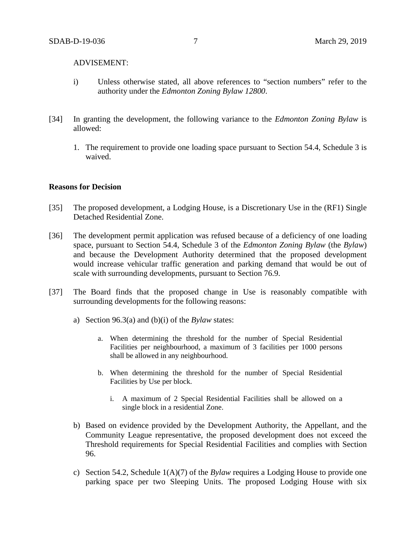### ADVISEMENT:

- i) Unless otherwise stated, all above references to "section numbers" refer to the authority under the *Edmonton Zoning Bylaw 12800*.
- [34] In granting the development, the following variance to the *Edmonton Zoning Bylaw* is allowed:
	- 1. The requirement to provide one loading space pursuant to Section 54.4, Schedule 3 is waived.

### **Reasons for Decision**

- [35] The proposed development, a Lodging House, is a Discretionary Use in the (RF1) Single Detached Residential Zone.
- [36] The development permit application was refused because of a deficiency of one loading space, pursuant to Section 54.4, Schedule 3 of the *Edmonton Zoning Bylaw* (the *Bylaw*) and because the Development Authority determined that the proposed development would increase vehicular traffic generation and parking demand that would be out of scale with surrounding developments, pursuant to Section 76.9.
- [37] The Board finds that the proposed change in Use is reasonably compatible with surrounding developments for the following reasons:
	- a) Section 96.3(a) and (b)(i) of the *Bylaw* states:
		- a. When determining the threshold for the number of Special Residential Facilities per neighbourhood, a maximum of 3 facilities per 1000 persons shall be allowed in any neighbourhood.
		- b. When determining the threshold for the number of Special Residential Facilities by Use per block.
			- i. A maximum of 2 Special Residential Facilities shall be allowed on a single block in a residential Zone.
	- b) Based on evidence provided by the Development Authority, the Appellant, and the Community League representative, the proposed development does not exceed the Threshold requirements for Special Residential Facilities and complies with Section 96.
	- c) Section 54.2, Schedule 1(A)(7) of the *Bylaw* requires a Lodging House to provide one parking space per two Sleeping Units. The proposed Lodging House with six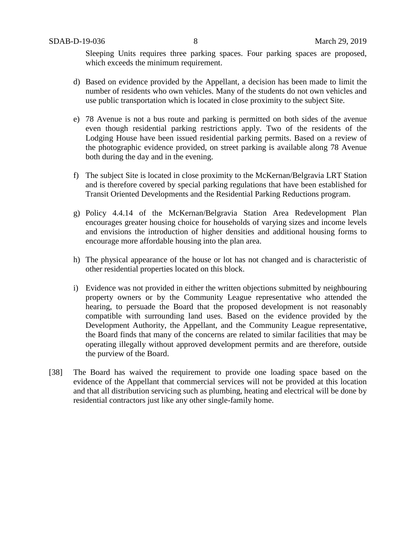Sleeping Units requires three parking spaces. Four parking spaces are proposed, which exceeds the minimum requirement.

- d) Based on evidence provided by the Appellant, a decision has been made to limit the number of residents who own vehicles. Many of the students do not own vehicles and use public transportation which is located in close proximity to the subject Site.
- e) 78 Avenue is not a bus route and parking is permitted on both sides of the avenue even though residential parking restrictions apply. Two of the residents of the Lodging House have been issued residential parking permits. Based on a review of the photographic evidence provided, on street parking is available along 78 Avenue both during the day and in the evening.
- f) The subject Site is located in close proximity to the McKernan/Belgravia LRT Station and is therefore covered by special parking regulations that have been established for Transit Oriented Developments and the Residential Parking Reductions program.
- g) Policy 4.4.14 of the McKernan/Belgravia Station Area Redevelopment Plan encourages greater housing choice for households of varying sizes and income levels and envisions the introduction of higher densities and additional housing forms to encourage more affordable housing into the plan area.
- h) The physical appearance of the house or lot has not changed and is characteristic of other residential properties located on this block.
- i) Evidence was not provided in either the written objections submitted by neighbouring property owners or by the Community League representative who attended the hearing, to persuade the Board that the proposed development is not reasonably compatible with surrounding land uses. Based on the evidence provided by the Development Authority, the Appellant, and the Community League representative, the Board finds that many of the concerns are related to similar facilities that may be operating illegally without approved development permits and are therefore, outside the purview of the Board.
- [38] The Board has waived the requirement to provide one loading space based on the evidence of the Appellant that commercial services will not be provided at this location and that all distribution servicing such as plumbing, heating and electrical will be done by residential contractors just like any other single-family home.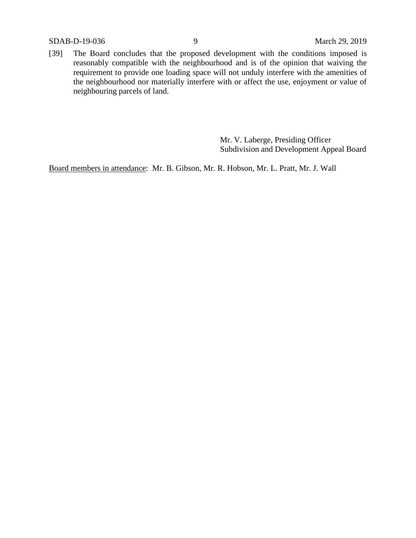SDAB-D-19-036 9 March 29, 2019

[39] The Board concludes that the proposed development with the conditions imposed is reasonably compatible with the neighbourhood and is of the opinion that waiving the requirement to provide one loading space will not unduly interfere with the amenities of the neighbourhood nor materially interfere with or affect the use, enjoyment or value of neighbouring parcels of land.

> Mr. V. Laberge, Presiding Officer Subdivision and Development Appeal Board

Board members in attendance: Mr. B. Gibson, Mr. R. Hobson, Mr. L. Pratt, Mr. J. Wall